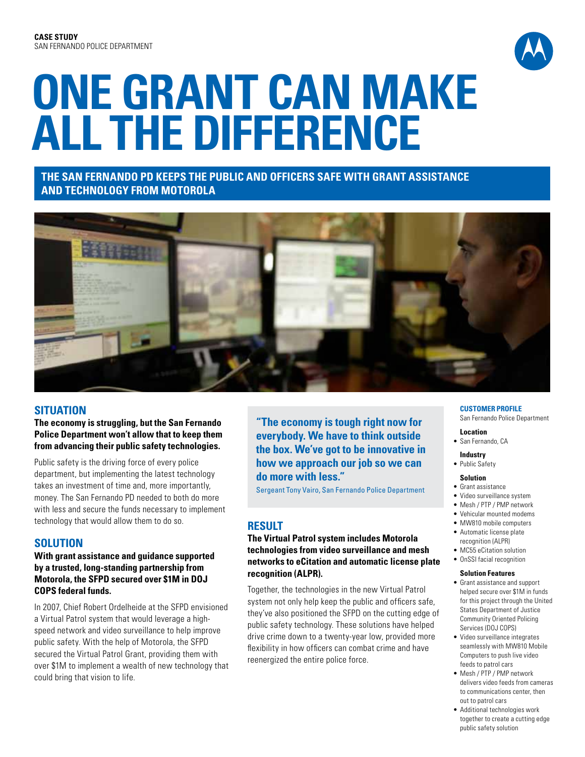

# **One Grant Can Make All the Difference**

# **The San Fernando PD Keeps the Public and Officers Safe with Grant Assistance and Technology from Motorola**



# **SituatioN**

**The economy is struggling, but the San Fernando Police Department won't allow that to keep them from advancing their public safety technologies.**

Public safety is the driving force of every police department, but implementing the latest technology takes an investment of time and, more importantly, money. The San Fernando PD needed to both do more with less and secure the funds necessary to implement technology that would allow them to do so.

## **Solution**

## **With grant assistance and guidance supported by a trusted, long-standing partnership from Motorola, the SFPD secured over \$1M in DOJ COPS federal funds.**

In 2007, Chief Robert Ordelheide at the SFPD envisioned a Virtual Patrol system that would leverage a highspeed network and video surveillance to help improve public safety. With the help of Motorola, the SFPD secured the Virtual Patrol Grant, providing them with over \$1M to implement a wealth of new technology that could bring that vision to life.

**"The economy is tough right now for everybody. We have to think outside the box. We've got to be innovative in how we approach our job so we can do more with less."**

Sergeant Tony Vairo, San Fernando Police Department

# **Result**

### **The Virtual Patrol system includes Motorola technologies from video surveillance and mesh networks to eCitation and automatic license plate recognition (ALPR).**

Together, the technologies in the new Virtual Patrol system not only help keep the public and officers safe, they've also positioned the SFPD on the cutting edge of public safety technology. These solutions have helped drive crime down to a twenty-year low, provided more flexibility in how officers can combat crime and have reenergized the entire police force.

#### **CUSTOMER PROFILE**

San Fernando Police Department

# **Location**

- San Fernando, CA
- **Industry** • Public Safety

### **Solution**

- • Grant assistance
- • Video surveillance system
- • Mesh / PTP / PMP network
- • Vehicular mounted modems
- MW810 mobile computers
- • Automatic license plate recognition (ALPR)
- • MC55 eCitation solution
- • OnSSI facial recognition

#### **Solution Features**

- • Grant assistance and support helped secure over \$1M in funds for this project through the United States Department of Justice Community Oriented Policing Services (DOJ COPS)
- Video surveillance integrates seamlessly with MW810 Mobile Computers to push live video feeds to patrol cars
- • Mesh / PTP / PMP network delivers video feeds from cameras to communications center, then out to patrol cars
- • Additional technologies work together to create a cutting edge public safety solution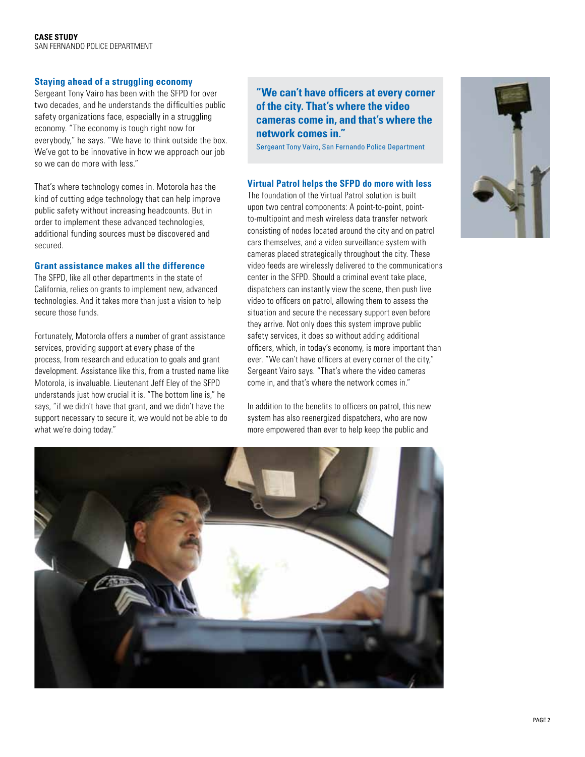#### **Staying ahead of a struggling economy**

Sergeant Tony Vairo has been with the SFPD for over two decades, and he understands the difficulties public safety organizations face, especially in a struggling economy. "The economy is tough right now for everybody," he says. "We have to think outside the box. We've got to be innovative in how we approach our job so we can do more with less."

That's where technology comes in. Motorola has the kind of cutting edge technology that can help improve public safety without increasing headcounts. But in order to implement these advanced technologies, additional funding sources must be discovered and secured.

#### **Grant assistance makes all the difference**

The SFPD, like all other departments in the state of California, relies on grants to implement new, advanced technologies. And it takes more than just a vision to help secure those funds.

Fortunately, Motorola offers a number of grant assistance services, providing support at every phase of the process, from research and education to goals and grant development. Assistance like this, from a trusted name like Motorola, is invaluable. Lieutenant Jeff Eley of the SFPD understands just how crucial it is. "The bottom line is," he says, "if we didn't have that grant, and we didn't have the support necessary to secure it, we would not be able to do what we're doing today."

# **"We can't have officers at every corner of the city. That's where the video cameras come in, and that's where the network comes in."**

Sergeant Tony Vairo, San Fernando Police Department

### **Virtual Patrol helps the SFPD do more with less**

The foundation of the Virtual Patrol solution is built upon two central components: A point-to-point, pointto-multipoint and mesh wireless data transfer network consisting of nodes located around the city and on patrol cars themselves, and a video surveillance system with cameras placed strategically throughout the city. These video feeds are wirelessly delivered to the communications center in the SFPD. Should a criminal event take place, dispatchers can instantly view the scene, then push live video to officers on patrol, allowing them to assess the situation and secure the necessary support even before they arrive. Not only does this system improve public safety services, it does so without adding additional officers, which, in today's economy, is more important than ever. "We can't have officers at every corner of the city," Sergeant Vairo says. "That's where the video cameras come in, and that's where the network comes in."

In addition to the benefits to officers on patrol, this new system has also reenergized dispatchers, who are now more empowered than ever to help keep the public and



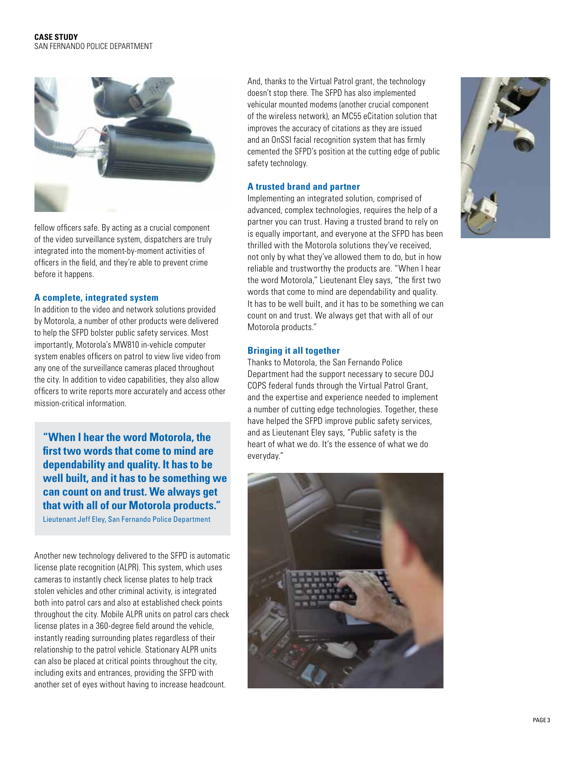

fellow officers safe. By acting as a crucial component of the video surveillance system, dispatchers are truly integrated into the moment-by-moment activities of officers in the field, and they're able to prevent crime before it happens.

#### **A complete, integrated system**

In addition to the video and network solutions provided by Motorola, a number of other products were delivered to help the SFPD bolster public safety services. Most importantly, Motorola's MW810 in-vehicle computer system enables officers on patrol to view live video from any one of the surveillance cameras placed throughout the city. In addition to video capabilities, they also allow officers to write reports more accurately and access other mission-critical information.

**"When I hear the word Motorola, the first two words that come to mind are dependability and quality. It has to be well built, and it has to be something we can count on and trust. We always get that with all of our Motorola products."**

Lieutenant Jeff Eley, San Fernando Police Department

Another new technology delivered to the SFPD is automatic license plate recognition (ALPR). This system, which uses cameras to instantly check license plates to help track stolen vehicles and other criminal activity, is integrated both into patrol cars and also at established check points throughout the city. Mobile ALPR units on patrol cars check license plates in a 360-degree field around the vehicle, instantly reading surrounding plates regardless of their relationship to the patrol vehicle. Stationary ALPR units can also be placed at critical points throughout the city, including exits and entrances, providing the SFPD with another set of eyes without having to increase headcount.

And, thanks to the Virtual Patrol grant, the technology doesn't stop there. The SFPD has also implemented vehicular mounted modems (another crucial component of the wireless network), an MC55 eCitation solution that improves the accuracy of citations as they are issued and an OnSSI facial recognition system that has firmly cemented the SFPD's position at the cutting edge of public safety technology.

#### **A trusted brand and partner**

Implementing an integrated solution, comprised of advanced, complex technologies, requires the help of a partner you can trust. Having a trusted brand to rely on is equally important, and everyone at the SFPD has been thrilled with the Motorola solutions they've received, not only by what they've allowed them to do, but in how reliable and trustworthy the products are. "When I hear the word Motorola," Lieutenant Eley says, "the first two words that come to mind are dependability and quality. It has to be well built, and it has to be something we can count on and trust. We always get that with all of our Motorola products."

#### **Bringing it all together**

Thanks to Motorola, the San Fernando Police Department had the support necessary to secure DOJ COPS federal funds through the Virtual Patrol Grant, and the expertise and experience needed to implement a number of cutting edge technologies. Together, these have helped the SFPD improve public safety services, and as Lieutenant Eley says, "Public safety is the heart of what we do. It's the essence of what we do everyday."